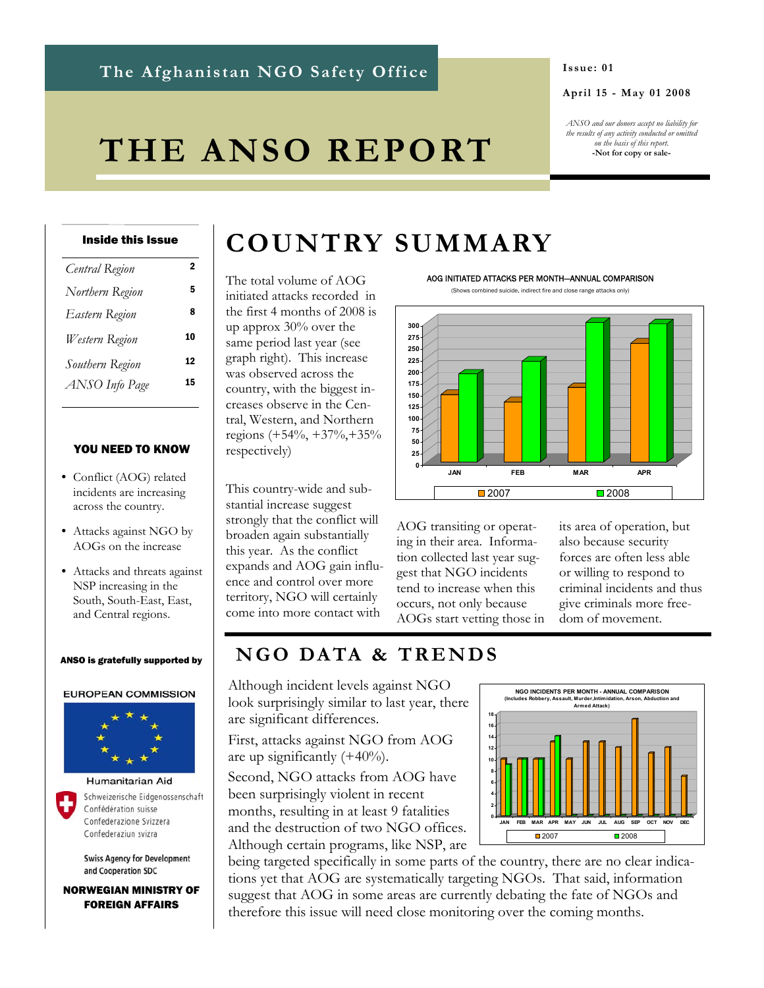# **The Afghanistan NGO Safety Office**

#### **Issue: 01**

#### **April 15 - May 01 2008**

*ANSO and our donors accept no liability for the results of any activity conducted or omitted on the basis of this report.*  **-Not for copy or sale-**

# **THE ANSO REPORT**

#### Inside this Issue

| Central Region  | 2  |
|-----------------|----|
| Northern Region | 5  |
| Eastern Region  | 8  |
| Western Region  | 10 |
| Southern Region | 12 |
| ANSO Info Page  | 15 |
|                 |    |

#### YOU NEED TO KNOW

- Conflict (AOG) related incidents are increasing across the country.
- Attacks against NGO by AOGs on the increase
- Attacks and threats against NSP increasing in the South, South-East, East, and Central regions.

#### ANSO is gratefully supported by

#### **EUROPEAN COMMISSION**



Schweizerische Eidgenossenschaft Confédération suisse Confederazione Svizzera

Confederaziun svizra

**Swiss Agency for Development** and Cooperation SDC

NORWEGIAN MINISTRY OF FOREIGN AFFAIRS

# **COUNTRY SUMMARY**

The total volume of AOG initiated attacks recorded in the first 4 months of 2008 is up approx 30% over the same period last year (see graph right). This increase was observed across the country, with the biggest increases observe in the Central, Western, and Northern regions (+54%, +37%,+35% respectively)

This country-wide and substantial increase suggest strongly that the conflict will broaden again substantially this year. As the conflict expands and AOG gain influence and control over more territory, NGO will certainly come into more contact with



(Shows combined suicide, indirect fire and close range attacks only)



AOG transiting or operating in their area. Information collected last year suggest that NGO incidents tend to increase when this occurs, not only because AOGs start vetting those in

its area of operation, but also because security forces are often less able or willing to respond to criminal incidents and thus give criminals more freedom of movement.

# **N G O DA TA & T R E N D S**

Although incident levels against NGO look surprisingly similar to last year, there are significant differences.

First, attacks against NGO from AOG are up significantly  $(+40\%)$ .

Second, NGO attacks from AOG have been surprisingly violent in recent months, resulting in at least 9 fatalities and the destruction of two NGO offices. Although certain programs, like NSP, are

being targeted specifically in some parts of the country, there are no clear indications yet that AOG are systematically targeting NGOs. That said, information suggest that AOG in some areas are currently debating the fate of NGOs and therefore this issue will need close monitoring over the coming months.

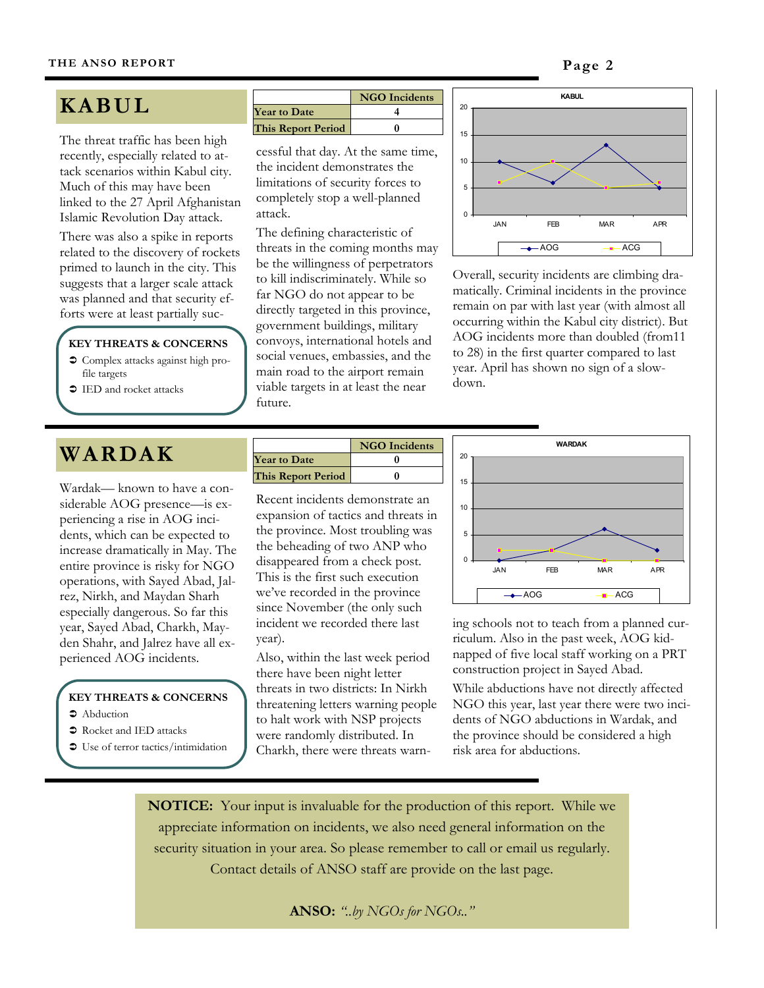

# **K ABUL**

The threat traffic has been high recently, especially related to attack scenarios within Kabul city. Much of this may have been linked to the 27 April Afghanistan Islamic Revolution Day attack.

There was also a spike in reports related to the discovery of rockets primed to launch in the city. This suggests that a larger scale attack was planned and that security efforts were at least partially suc-

#### **KEY THREATS & CONCERNS**

- $\supset$  Complex attacks against high profile targets
- IED and rocket attacks

# **WARDAK**

Wardak— known to have a considerable AOG presence—is experiencing a rise in AOG incidents, which can be expected to increase dramatically in May. The entire province is risky for NGO operations, with Sayed Abad, Jalrez, Nirkh, and Maydan Sharh especially dangerous. So far this year, Sayed Abad, Charkh, Mayden Shahr, and Jalrez have all experienced AOG incidents.

# **KEY THREATS & CONCERNS**

- $\bullet$  Abduction
- $\bullet$  Rocket and IED attacks
- "> Use of terror tactics/intimidation

|                           | <b>NGO</b> Incidents |
|---------------------------|----------------------|
| <b>Year to Date</b>       |                      |
| <b>This Report Period</b> |                      |

cessful that day. At the same time, the incident demonstrates the limitations of security forces to completely stop a well-planned attack.

The defining characteristic of threats in the coming months may be the willingness of perpetrators to kill indiscriminately. While so far NGO do not appear to be directly targeted in this province, government buildings, military convoys, international hotels and social venues, embassies, and the main road to the airport remain viable targets in at least the near future.



Overall, security incidents are climbing dramatically. Criminal incidents in the province remain on par with last year (with almost all occurring within the Kabul city district). But AOG incidents more than doubled (from11 to 28) in the first quarter compared to last year. April has shown no sign of a slowdown.

|                           | <b>NGO</b> Incidents |
|---------------------------|----------------------|
| <b>Year to Date</b>       |                      |
| <b>This Report Period</b> |                      |

Recent incidents demonstrate an expansion of tactics and threats in the province. Most troubling was the beheading of two ANP who disappeared from a check post. This is the first such execution we've recorded in the province since November (the only such incident we recorded there last year).

Also, within the last week period there have been night letter threats in two districts: In Nirkh threatening letters warning people to halt work with NSP projects were randomly distributed. In Charkh, there were threats warn-



ing schools not to teach from a planned curriculum. Also in the past week, AOG kidnapped of five local staff working on a PRT construction project in Sayed Abad.

While abductions have not directly affected NGO this year, last year there were two incidents of NGO abductions in Wardak, and the province should be considered a high risk area for abductions.

**NOTICE:** Your input is invaluable for the production of this report. While we appreciate information on incidents, we also need general information on the security situation in your area. So please remember to call or email us regularly. Contact details of ANSO staff are provide on the last page.

# **ANSO:** *"..by NGOs for NGOs.."*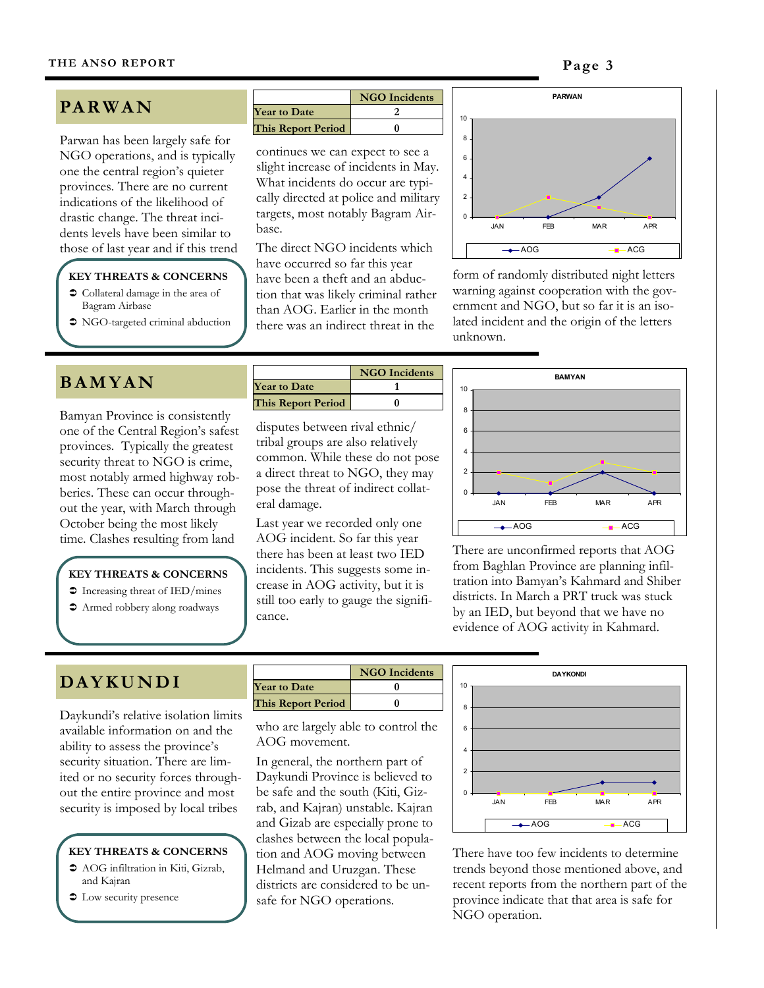# **PA R W A N**

Parwan has been largely safe for NGO operations, and is typically one the central region's quieter provinces. There are no current indications of the likelihood of drastic change. The threat incidents levels have been similar to those of last year and if this trend

#### **KEY THREATS & CONCERNS**

- $\supset$  Collateral damage in the area of Bagram Airbase
- NGO-targeted criminal abduction

# **B A M Y A N**

Bamyan Province is consistently one of the Central Region's safest provinces. Typically the greatest security threat to NGO is crime, most notably armed highway robberies. These can occur throughout the year, with March through October being the most likely

## **KEY THREATS & CONCERNS**

- $\supset$  Increasing threat of IED/mines
- $\bullet$  Armed robbery along roadways

|                           | <b>NGO</b> Incidents |
|---------------------------|----------------------|
| <b>Year to Date</b>       |                      |
| <b>This Report Period</b> |                      |

continues we can expect to see a slight increase of incidents in May. What incidents do occur are typically directed at police and military targets, most notably Bagram Airbase.

The direct NGO incidents which have occurred so far this year have been a theft and an abduction that was likely criminal rather than AOG. Earlier in the month there was an indirect threat in the



form of randomly distributed night letters warning against cooperation with the government and NGO, but so far it is an isolated incident and the origin of the letters unknown.

|                     | <b>NGO</b> Incidents |
|---------------------|----------------------|
| <b>Year to Date</b> |                      |
| This Report Period  |                      |

disputes between rival ethnic/ tribal groups are also relatively common. While these do not pose a direct threat to NGO, they may pose the threat of indirect collateral damage.

Last year we recorded only one AOG incident. So far this year there has been at least two IED incidents. This suggests some increase in AOG activity, but it is still too early to gauge the significance. time. Clashes resulting from land AOG incident. So far this year<br>there are unconfirmed reports that AOG



from Baghlan Province are planning infiltration into Bamyan's Kahmard and Shiber districts. In March a PRT truck was stuck by an IED, but beyond that we have no evidence of AOG activity in Kahmard.

# **DA Y K U N D I**

Daykundi's relative isolation limits available information on and the ability to assess the province's security situation. There are limited or no security forces throughout the entire province and most security is imposed by local tribes

#### **KEY THREATS & CONCERNS**

- $\bullet$  AOG infiltration in Kiti, Gizrab, and Kajran
- $\bullet$  Low security presence

|                           | <b>NGO</b> Incidents |
|---------------------------|----------------------|
| <b>Year to Date</b>       |                      |
| <b>This Report Period</b> |                      |

who are largely able to control the AOG movement.

In general, the northern part of Daykundi Province is believed to be safe and the south (Kiti, Gizrab, and Kajran) unstable. Kajran and Gizab are especially prone to clashes between the local population and AOG moving between Helmand and Uruzgan. These districts are considered to be unsafe for NGO operations.



There have too few incidents to determine trends beyond those mentioned above, and recent reports from the northern part of the province indicate that that area is safe for NGO operation.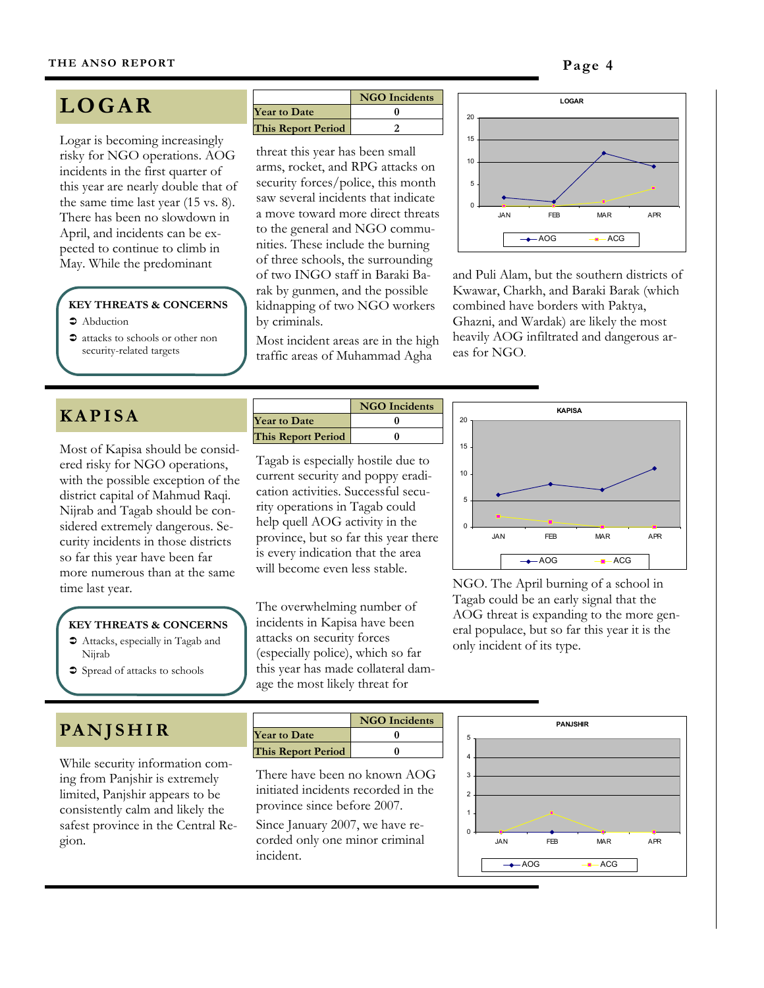# **LOGAR**

Logar is becoming increasingly risky for NGO operations. AOG incidents in the first quarter of this year are nearly double that of the same time last year (15 vs. 8). There has been no slowdown in April, and incidents can be expected to continue to climb in

#### **KEY THREATS & CONCERNS**

- $\supset$  Abduction
- $\bullet$  attacks to schools or other non security-related targets

#### **NGO Incidents Year to Date 0 This Report Period 2**

threat this year has been small arms, rocket, and RPG attacks on security forces/police, this month saw several incidents that indicate a move toward more direct threats to the general and NGO communities. These include the burning of three schools, the surrounding of two INGO staff in Baraki Barak by gunmen, and the possible kidnapping of two NGO workers by criminals. May. While the predominant of three schools, the surrounding<br>of two INGO staff in Baraki Ba- and Puli Alam, but the southern districts of

> Most incident areas are in the high traffic areas of Muhammad Agha



Kwawar, Charkh, and Baraki Barak (which combined have borders with Paktya, Ghazni, and Wardak) are likely the most heavily AOG infiltrated and dangerous areas for NGO.

# **KAPISA**

Most of Kapisa should be considered risky for NGO operations, with the possible exception of the district capital of Mahmud Raqi. Nijrab and Tagab should be considered extremely dangerous. Security incidents in those districts so far this year have been far more numerous than at the same

#### **KEY THREATS & CONCERNS**

- $\bullet$  Attacks, especially in Tagab and Nijrab
- $\supset$  Spread of attacks to schools

# **PA N J S H I R**

While security information coming from Panjshir is extremely limited, Panjshir appears to be consistently calm and likely the safest province in the Central Region.

|                           | <b>NGO</b> Incidents |
|---------------------------|----------------------|
| <b>Year to Date</b>       |                      |
| <b>This Report Period</b> |                      |

Tagab is especially hostile due to current security and poppy eradication activities. Successful security operations in Tagab could help quell AOG activity in the province, but so far this year there is every indication that the area will become even less stable.

The overwhelming number of incidents in Kapisa have been attacks on security forces (especially police), which so far this year has made collateral damage the most likely threat for



time last year. NGO. The April burning of a school in Tagab could be an early signal that the AOG threat is expanding to the more general populace, but so far this year it is the only incident of its type.



There have been no known AOG initiated incidents recorded in the province since before 2007.

Since January 2007, we have recorded only one minor criminal incident.

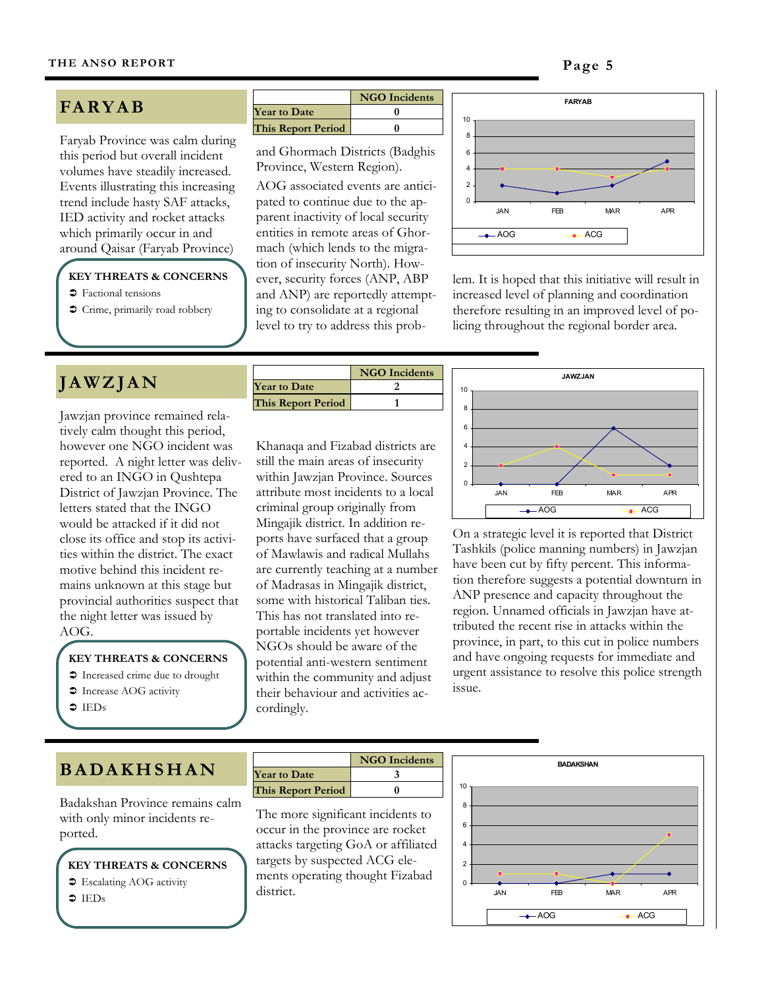# **FA RY A B**

Faryab Province was calm during this period but overall incident volumes have steadily increased. Events illustrating this increasing trend include hasty SAF attacks, IED activity and rocket attacks which primarily occur in and around Qaisar (Faryab Province)

#### **KEY THREATS & CONCERNS**

- Factional tensions
- $\supset$  Crime, primarily road robbery

# **J A W Z J A N**

Jawzjan province remained relatively calm thought this period, however one NGO incident was reported. A night letter was delivered to an INGO in Qushtepa District of Jawzjan Province. The letters stated that the INGO would be attacked if it did not close its office and stop its activities within the district. The exact motive behind this incident remains unknown at this stage but provincial authorities suspect that the night letter was issued by AOG.

#### **KEY THREATS & CONCERNS**

 $\bullet$  Increased crime due to drought

- **Therease AOG activity**
- $\bullet$  IEDs

|                           | <b>NGO</b> Incidents |
|---------------------------|----------------------|
| <b>Year to Date</b>       |                      |
| <b>This Report Period</b> |                      |

and Ghormach Districts (Badghis Province, Western Region).

AOG associated events are anticipated to continue due to the apparent inactivity of local security entities in remote areas of Ghormach (which lends to the migration of insecurity North). However, security forces (ANP, ABP and ANP) are reportedly attempting to consolidate at a regional level to try to address this prob-



lem. It is hoped that this initiative will result in increased level of planning and coordination therefore resulting in an improved level of policing throughout the regional border area.

|                           | <b>NGO</b> Incidents |
|---------------------------|----------------------|
| <b>Year to Date</b>       |                      |
| <b>This Report Period</b> |                      |
|                           |                      |

Khanaqa and Fizabad districts are still the main areas of insecurity within Jawzjan Province. Sources attribute most incidents to a local criminal group originally from Mingajik district. In addition reports have surfaced that a group of Mawlawis and radical Mullahs are currently teaching at a number of Madrasas in Mingajik district, some with historical Taliban ties. This has not translated into reportable incidents yet however NGOs should be aware of the potential anti-western sentiment within the community and adjust their behaviour and activities accordingly.



On a strategic level it is reported that District Tashkils (police manning numbers) in Jawzjan have been cut by fifty percent. This information therefore suggests a potential downturn in ANP presence and capacity throughout the region. Unnamed officials in Jawzjan have attributed the recent rise in attacks within the province, in part, to this cut in police numbers and have ongoing requests for immediate and urgent assistance to resolve this police strength issue.

# **B A DA K H S H A N**

Badakshan Province remains calm with only minor incidents reported.

**KEY THREATS & CONCERNS •** Escalating AOG activity  $\bullet$  IEDs

|                     | <b>NGO</b> Incidents |
|---------------------|----------------------|
| <b>Year to Date</b> |                      |
| This Report Period  |                      |

The more significant incidents to occur in the province are rocket attacks targeting GoA or affiliated targets by suspected ACG elements operating thought Fizabad district.

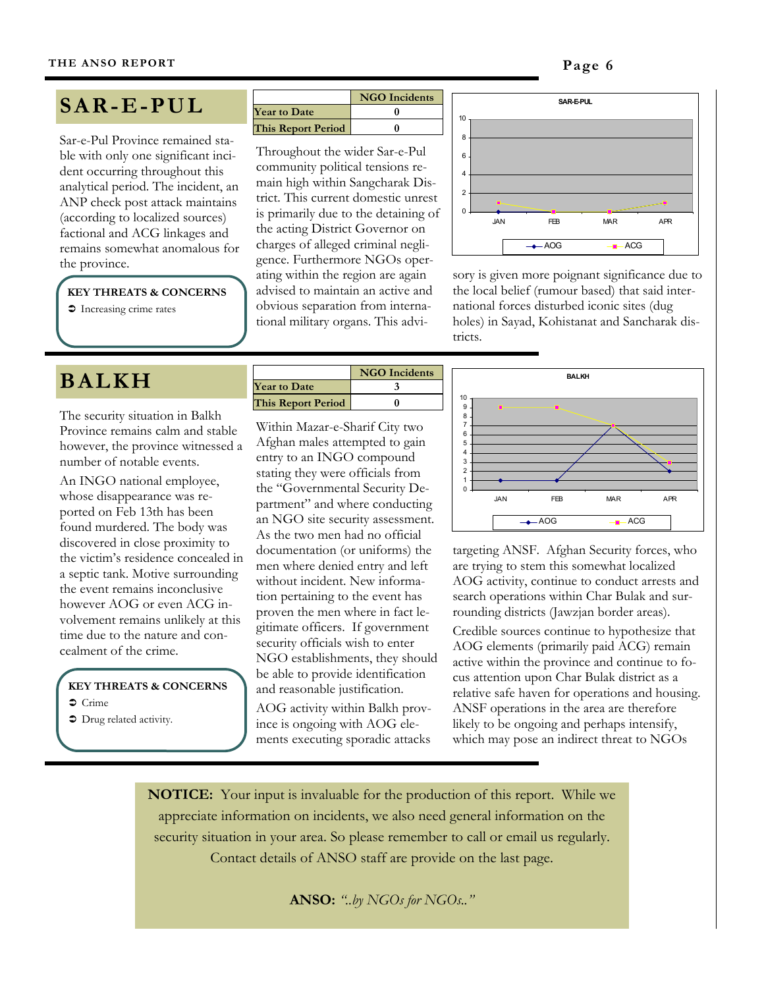# **SAR-E-PUL**

Sar-e-Pul Province remained stable with only one significant incident occurring throughout this analytical period. The incident, an ANP check post attack maintains (according to localized sources) factional and ACG linkages and remains somewhat anomalous for

**KEY THREATS & CONCERNS** 

**The Increasing crime rates** 

# **BALKH**

The security situation in Balkh Province remains calm and stable however, the province witnessed a number of notable events.

An INGO national employee, whose disappearance was reported on Feb 13th has been found murdered. The body was discovered in close proximity to the victim's residence concealed in a septic tank. Motive surrounding the event remains inconclusive however AOG or even ACG involvement remains unlikely at this time due to the nature and concealment of the crime.

#### **KEY THREATS & CONCERNS**

- $\circ$  Crime
- $\bullet$  Drug related activity.

|                           | <b>NGO</b> Incidents |
|---------------------------|----------------------|
| <b>Year to Date</b>       |                      |
| <b>This Report Period</b> |                      |

Throughout the wider Sar-e-Pul community political tensions remain high within Sangcharak District. This current domestic unrest is primarily due to the detaining of the acting District Governor on charges of alleged criminal negligence. Furthermore NGOs operating within the region are again advised to maintain an active and obvious separation from international military organs. This advithe province.<br>ating within the region are again sory is given more poignant significance due to



the local belief (rumour based) that said international forces disturbed iconic sites (dug holes) in Sayad, Kohistanat and Sancharak districts.

|                           | <b>NGO</b> Incidents |
|---------------------------|----------------------|
| <b>Year to Date</b>       |                      |
| <b>This Report Period</b> |                      |
|                           |                      |

Within Mazar-e-Sharif City two Afghan males attempted to gain entry to an INGO compound stating they were officials from the "Governmental Security Department" and where conducting an NGO site security assessment. As the two men had no official documentation (or uniforms) the men where denied entry and left without incident. New information pertaining to the event has proven the men where in fact legitimate officers. If government security officials wish to enter NGO establishments, they should be able to provide identification and reasonable justification.

AOG activity within Balkh province is ongoing with AOG elements executing sporadic attacks



targeting ANSF. Afghan Security forces, who are trying to stem this somewhat localized AOG activity, continue to conduct arrests and search operations within Char Bulak and surrounding districts (Jawzjan border areas).

Credible sources continue to hypothesize that AOG elements (primarily paid ACG) remain active within the province and continue to focus attention upon Char Bulak district as a relative safe haven for operations and housing. ANSF operations in the area are therefore likely to be ongoing and perhaps intensify, which may pose an indirect threat to NGOs

**NOTICE:** Your input is invaluable for the production of this report. While we appreciate information on incidents, we also need general information on the security situation in your area. So please remember to call or email us regularly. Contact details of ANSO staff are provide on the last page.

**ANSO:** *"..by NGOs for NGOs.."*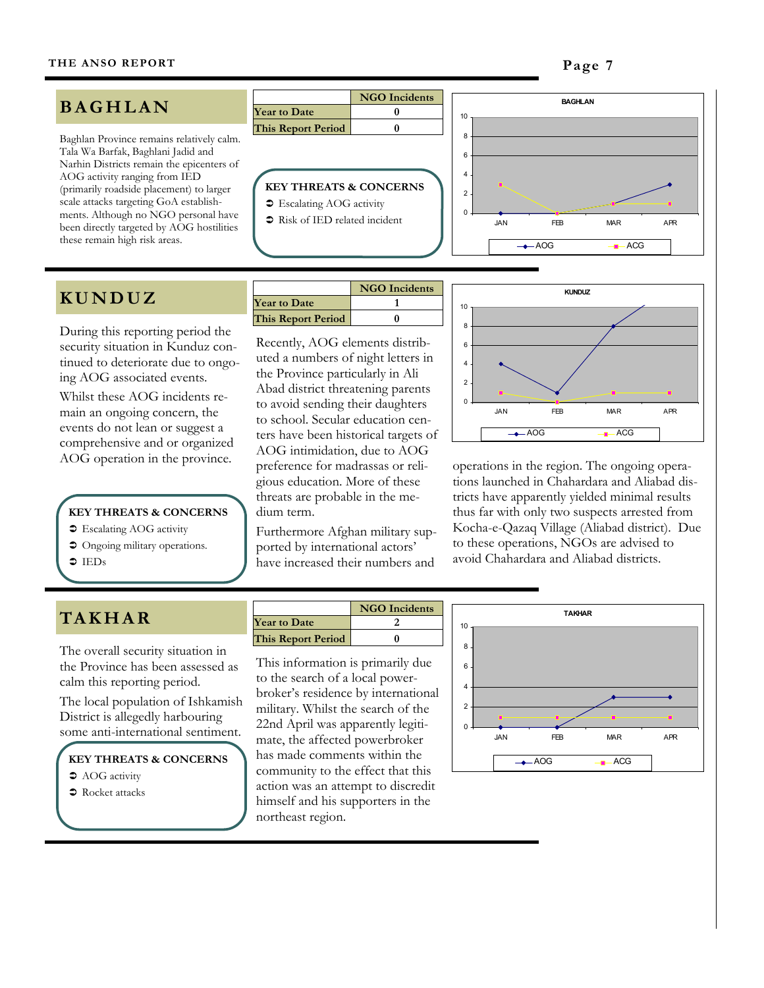# **B A G H L A N**

Baghlan Province remains relatively calm. Tala Wa Barfak, Baghlani Jadid and Narhin Districts remain the epicenters of AOG activity ranging from IED (primarily roadside placement) to larger scale attacks targeting GoA establishments. Although no NGO personal have been directly targeted by AOG hostilities these remain high risk areas.

# **K U N D U Z**

During this reporting period the security situation in Kunduz continued to deteriorate due to ongoing AOG associated events. Whilst these AOG incidents remain an ongoing concern, the events do not lean or suggest a comprehensive and or organized

**KEY THREATS & CONCERNS** 

- $\supset$  Escalating AOG activity
- $\supset$  Ongoing military operations.
- $\bullet$  IEDs

# **KEY THREATS & CONCERNS**   $\bullet$  Escalating AOG activity **Year to Date 0 This Report Period 0**

**NGO Incidents**

- 
- $\supset$  Risk of IED related incident



|                     | <b>NGO</b> Incidents |
|---------------------|----------------------|
| <b>Year to Date</b> |                      |
| This Report Period  |                      |

Recently, AOG elements distributed a numbers of night letters in the Province particularly in Ali Abad district threatening parents to avoid sending their daughters to school. Secular education centers have been historical targets of AOG intimidation, due to AOG preference for madrassas or religious education. More of these threats are probable in the medium term. AOG operation in the province.<br>preference for madrassas or reli-<br>operations in the region. The ongoing opera-

> Furthermore Afghan military supported by international actors' have increased their numbers and



tions launched in Chahardara and Aliabad districts have apparently yielded minimal results thus far with only two suspects arrested from Kocha-e-Qazaq Village (Aliabad district). Due to these operations, NGOs are advised to avoid Chahardara and Aliabad districts.

# **TA K H A R**

The overall security situation in the Province has been assessed as calm this reporting period.

The local population of Ishkamish District is allegedly harbouring some anti-international sentiment.

**KEY THREATS & CONCERNS C** AOG activity

 $\bullet$  Rocket attacks

| <b>NGO</b> Incidents |
|----------------------|
|                      |
|                      |
|                      |

This information is primarily due to the search of a local powerbroker's residence by international military. Whilst the search of the 22nd April was apparently legitimate, the affected powerbroker has made comments within the community to the effect that this action was an attempt to discredit himself and his supporters in the northeast region.

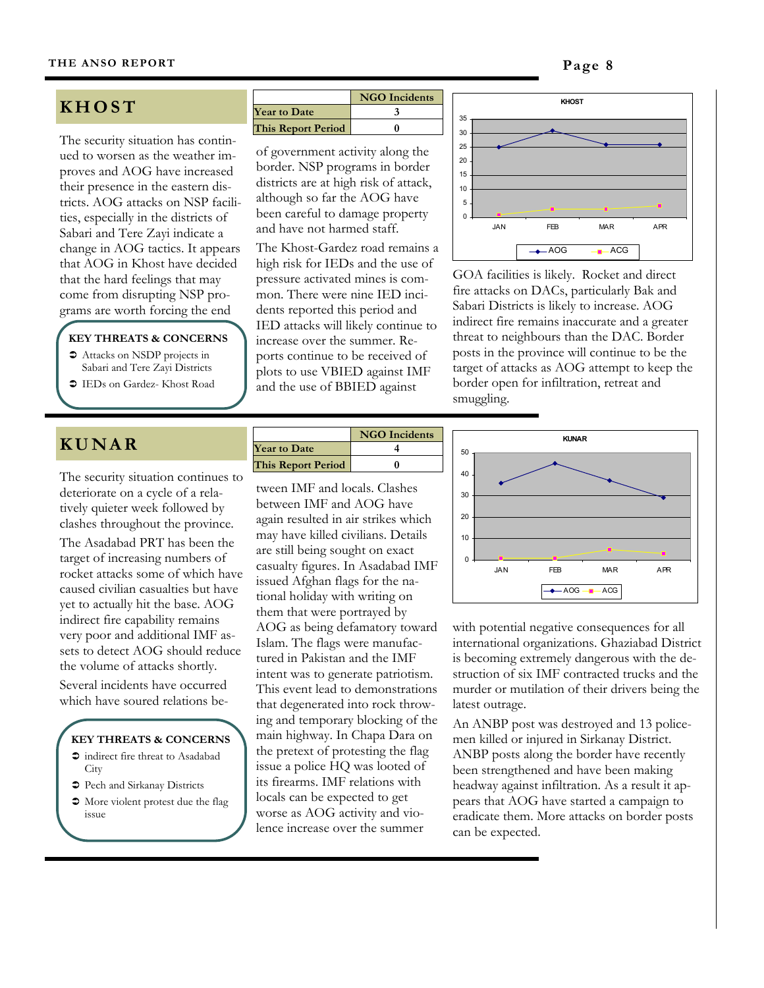# **KHOST**

The security situation has continued to worsen as the weather improves and AOG have increased their presence in the eastern districts. AOG attacks on NSP facilities, especially in the districts of Sabari and Tere Zayi indicate a change in AOG tactics. It appears that AOG in Khost have decided that the hard feelings that may come from disrupting NSP programs are worth forcing the end

#### **KEY THREATS & CONCERNS**

 $\bullet$  Attacks on NSDP projects in Sabari and Tere Zayi Districts !"IEDs on Gardez- Khost Road

| KUNAR |  |  |
|-------|--|--|
|-------|--|--|

The security situation continues to deteriorate on a cycle of a relatively quieter week followed by clashes throughout the province. The Asadabad PRT has been the target of increasing numbers of rocket attacks some of which have caused civilian casualties but have yet to actually hit the base. AOG indirect fire capability remains very poor and additional IMF assets to detect AOG should reduce the volume of attacks shortly.

Several incidents have occurred which have soured relations be-

#### **KEY THREATS & CONCERNS**

- $\supset$  indirect fire threat to Asadabad **City**
- "> Pech and Sirkanay Districts
- $\bullet$  More violent protest due the flag issue

|                           | <b>NGO</b> Incidents |
|---------------------------|----------------------|
| <b>Year to Date</b>       |                      |
| <b>This Report Period</b> |                      |

of government activity along the border. NSP programs in border districts are at high risk of attack, although so far the AOG have been careful to damage property and have not harmed staff.

The Khost-Gardez road remains a high risk for IEDs and the use of pressure activated mines is common. There were nine IED incidents reported this period and IED attacks will likely continue to increase over the summer. Reports continue to be received of plots to use VBIED against IMF and the use of BBIED against



GOA facilities is likely. Rocket and direct fire attacks on DACs, particularly Bak and Sabari Districts is likely to increase. AOG indirect fire remains inaccurate and a greater threat to neighbours than the DAC. Border posts in the province will continue to be the target of attacks as AOG attempt to keep the border open for infiltration, retreat and smuggling.

|                           | <b>NGO</b> Incidents |
|---------------------------|----------------------|
| <b>Year to Date</b>       |                      |
| <b>This Report Period</b> |                      |

tween IMF and locals. Clashes between IMF and AOG have again resulted in air strikes which may have killed civilians. Details are still being sought on exact casualty figures. In Asadabad IMF issued Afghan flags for the national holiday with writing on them that were portrayed by AOG as being defamatory toward Islam. The flags were manufactured in Pakistan and the IMF intent was to generate patriotism. This event lead to demonstrations that degenerated into rock throwing and temporary blocking of the main highway. In Chapa Dara on the pretext of protesting the flag issue a police HQ was looted of its firearms. IMF relations with locals can be expected to get worse as AOG activity and violence increase over the summer



with potential negative consequences for all international organizations. Ghaziabad District is becoming extremely dangerous with the destruction of six IMF contracted trucks and the murder or mutilation of their drivers being the latest outrage.

An ANBP post was destroyed and 13 policemen killed or injured in Sirkanay District. ANBP posts along the border have recently been strengthened and have been making headway against infiltration. As a result it appears that AOG have started a campaign to eradicate them. More attacks on border posts can be expected.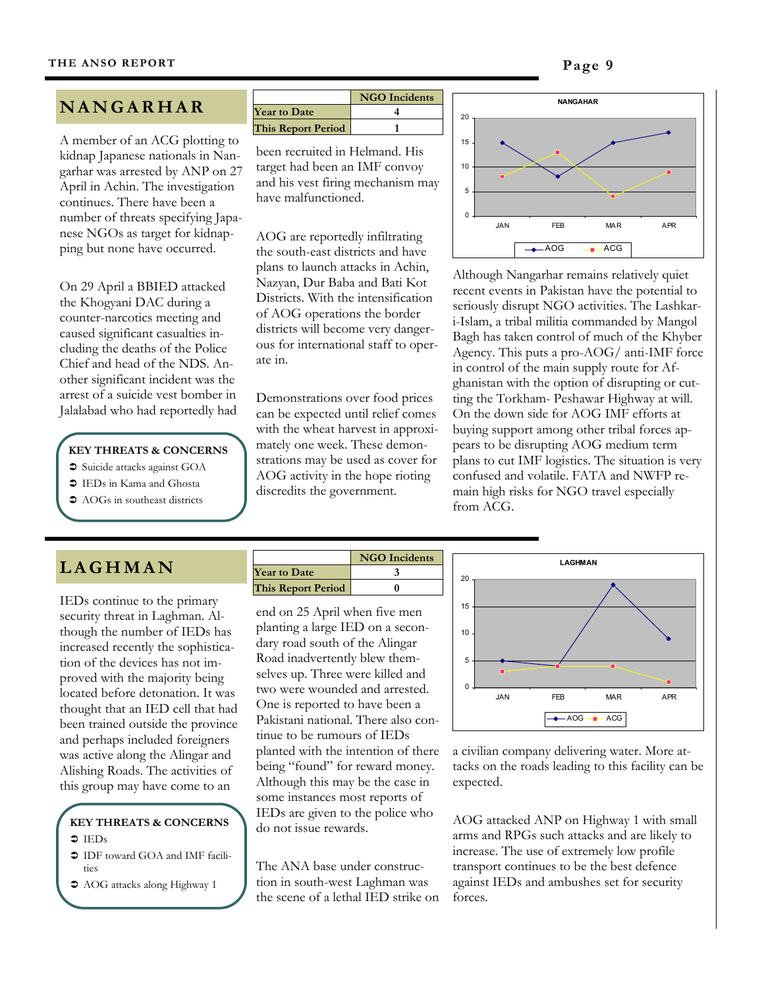# **N A N G A R H A R**

A member of an ACG plotting to kidnap Japanese nationals in Nangarhar was arrested by ANP on 27 April in Achin. The investigation continues. There have been a number of threats specifying Japanese NGOs as target for kidnapping but none have occurred.

On 29 April a BBIED attacked the Khogyani DAC during a counter-narcotics meeting and caused significant casualties including the deaths of the Police Chief and head of the NDS. Another significant incident was the arrest of a suicide vest bomber in Jalalabad who had reportedly had

#### **KEY THREATS & CONCERNS**

- "Suicide attacks against GOA
- $\supset$  IEDs in Kama and Ghosta
- AOGs in southeast districts

|                           | <b>NGO</b> Incidents |
|---------------------------|----------------------|
| <b>Year to Date</b>       |                      |
| <b>This Report Period</b> |                      |

been recruited in Helmand. His target had been an IMF convoy and his vest firing mechanism may have malfunctioned.

AOG are reportedly infiltrating the south-east districts and have plans to launch attacks in Achin, Nazyan, Dur Baba and Bati Kot Districts. With the intensification of AOG operations the border districts will become very dangerous for international staff to operate in.

Demonstrations over food prices can be expected until relief comes with the wheat harvest in approximately one week. These demonstrations may be used as cover for AOG activity in the hope rioting discredits the government.



Although Nangarhar remains relatively quiet recent events in Pakistan have the potential to seriously disrupt NGO activities. The Lashkari-Islam, a tribal militia commanded by Mangol Bagh has taken control of much of the Khyber Agency. This puts a pro-AOG/ anti-IMF force in control of the main supply route for Afghanistan with the option of disrupting or cutting the Torkham- Peshawar Highway at will. On the down side for AOG IMF efforts at buying support among other tribal forces appears to be disrupting AOG medium term plans to cut IMF logistics. The situation is very confused and volatile. FATA and NWFP remain high risks for NGO travel especially from ACG.

# **LAGHMAN**

IEDs continue to the primary security threat in Laghman. Although the number of IEDs has increased recently the sophistication of the devices has not improved with the majority being located before detonation. It was thought that an IED cell that had been trained outside the province and perhaps included foreigners was active along the Alingar and Alishing Roads. The activities of this group may have come to an

#### **KEY THREATS & CONCERNS**   $\bullet$  IEDs

- $\supset$  IDF toward GOA and IMF facilities
- $\bullet$  AOG attacks along Highway 1



end on 25 April when five men planting a large IED on a secondary road south of the Alingar Road inadvertently blew themselves up. Three were killed and two were wounded and arrested. One is reported to have been a Pakistani national. There also continue to be rumours of IEDs planted with the intention of there being "found" for reward money. Although this may be the case in some instances most reports of IEDs are given to the police who do not issue rewards.

The ANA base under construction in south-west Laghman was the scene of a lethal IED strike on



a civilian company delivering water. More attacks on the roads leading to this facility can be expected.

AOG attacked ANP on Highway 1 with small arms and RPGs such attacks and are likely to increase. The use of extremely low profile transport continues to be the best defence against IEDs and ambushes set for security forces.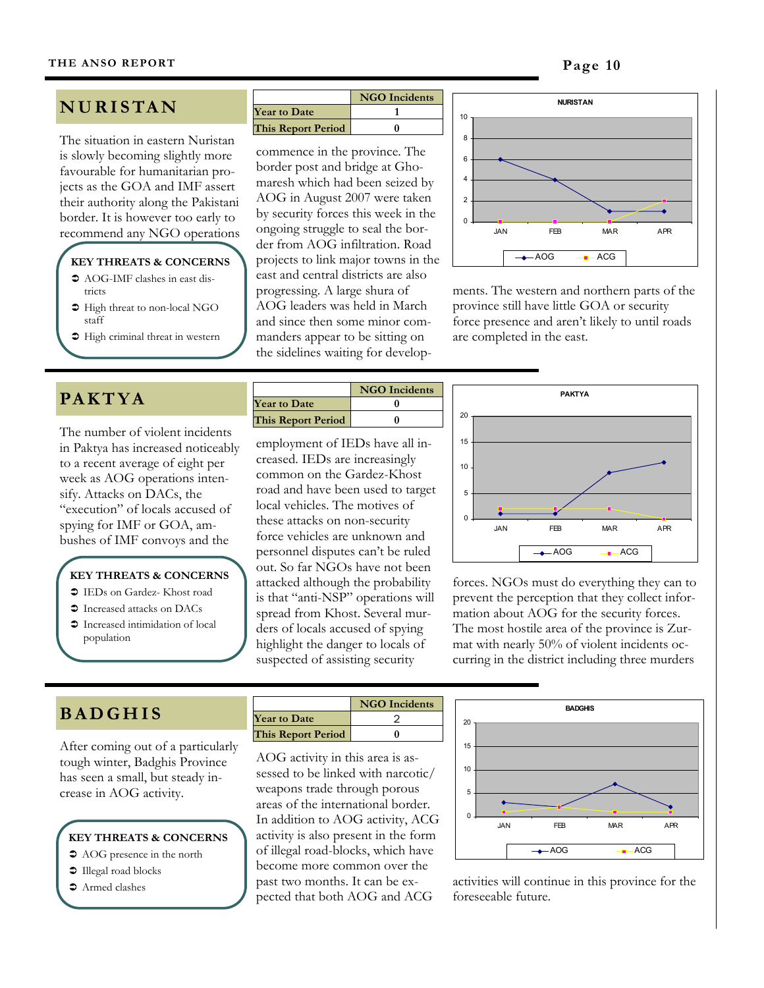# **N U R I S TA N**

The situation in eastern Nuristan is slowly becoming slightly more favourable for humanitarian projects as the GOA and IMF assert their authority along the Pakistani border. It is however too early to recommend any NGO operations

## **KEY THREATS & CONCERNS**

- $\supset$  AOG-IMF clashes in east districts
- $\supset$  High threat to non-local NGO staff
- $\supset$  High criminal threat in western

# **PA K T Y A**

The number of violent incidents in Paktya has increased noticeably to a recent average of eight per week as AOG operations intensify. Attacks on DACs, the "execution" of locals accused of spying for IMF or GOA, ambushes of IMF convoys and the

#### **KEY THREATS & CONCERNS**

- $\supset$  IEDs on Gardez- Khost road
- $\bullet$  Increased attacks on DACs
- $\supset$  Increased intimidation of local population

|                           | <b>NGO</b> Incidents |
|---------------------------|----------------------|
| <b>Year to Date</b>       |                      |
| <b>This Report Period</b> |                      |

commence in the province. The border post and bridge at Ghomaresh which had been seized by AOG in August 2007 were taken by security forces this week in the ongoing struggle to seal the border from AOG infiltration. Road projects to link major towns in the east and central districts are also progressing. A large shura of AOG leaders was held in March and since then some minor commanders appear to be sitting on the sidelines waiting for develop-



ments. The western and northern parts of the province still have little GOA or security force presence and aren't likely to until roads are completed in the east.

|                           | <b>NGO</b> Incidents |
|---------------------------|----------------------|
| <b>Year to Date</b>       |                      |
| <b>This Report Period</b> |                      |
|                           |                      |

employment of IEDs have all increased. IEDs are increasingly common on the Gardez-Khost road and have been used to target local vehicles. The motives of these attacks on non-security force vehicles are unknown and personnel disputes can't be ruled out. So far NGOs have not been attacked although the probability is that "anti-NSP" operations will spread from Khost. Several murders of locals accused of spying highlight the danger to locals of suspected of assisting security



forces. NGOs must do everything they can to prevent the perception that they collect information about AOG for the security forces. The most hostile area of the province is Zurmat with nearly 50% of violent incidents occurring in the district including three murders

# **B A D G H I S**

After coming out of a particularly tough winter, Badghis Province has seen a small, but steady increase in AOG activity.

# **KEY THREATS & CONCERNS**

- $\supset$  AOG presence in the north
- $\supset$  Illegal road blocks
- $\bullet$  Armed clashes

|                           | <b>NGO</b> Incidents |
|---------------------------|----------------------|
| <b>Year to Date</b>       |                      |
| <b>This Report Period</b> |                      |
|                           |                      |

AOG activity in this area is assessed to be linked with narcotic/ weapons trade through porous areas of the international border. In addition to AOG activity, ACG activity is also present in the form of illegal road-blocks, which have become more common over the past two months. It can be expected that both AOG and ACG



activities will continue in this province for the foreseeable future.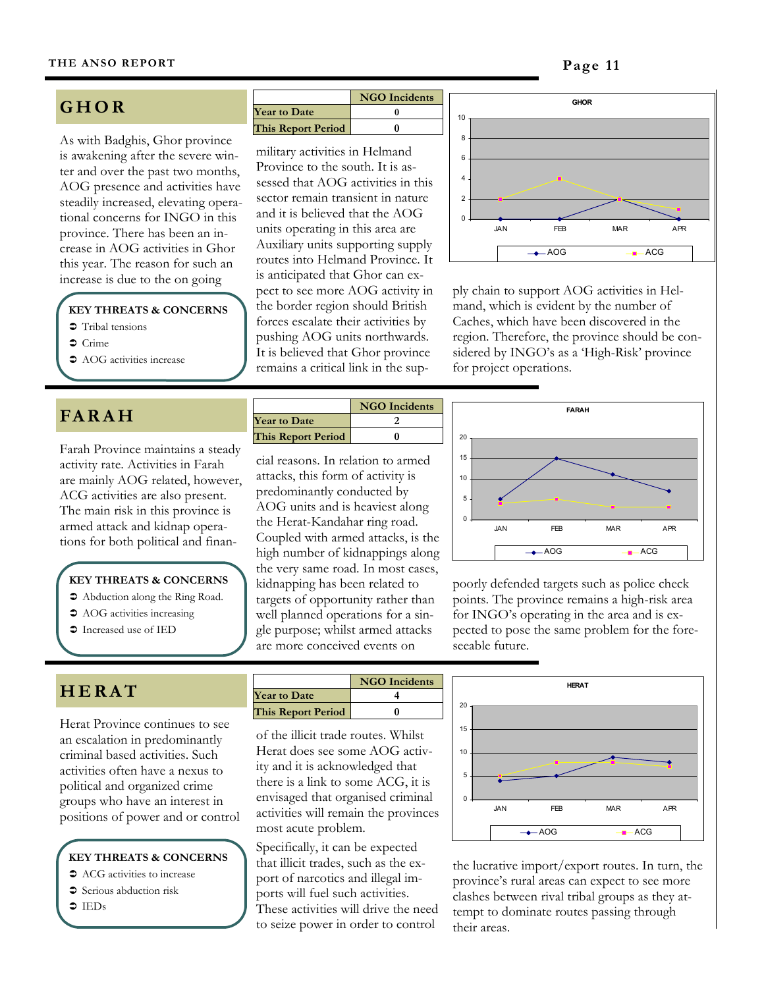# **GHOR**

As with Badghis, Ghor province is awakening after the severe winter and over the past two months, AOG presence and activities have steadily increased, elevating operational concerns for INGO in this province. There has been an increase in AOG activities in Ghor this year. The reason for such an

# **KEY THREATS & CONCERNS**

- "Tribal tensions
- $\bullet$  Crime
- AOG activities increase

# **FA R A H**

Farah Province maintains a steady activity rate. Activities in Farah are mainly AOG related, however, ACG activities are also present. The main risk in this province is armed attack and kidnap operations for both political and finan-

#### **KEY THREATS & CONCERNS**

- !"Abduction along the Ring Road.
- AOG activities increasing
- $\bullet$  Increased use of IED

|                           | <b>NGO</b> Incidents |
|---------------------------|----------------------|
| <b>Year to Date</b>       |                      |
| <b>This Report Period</b> |                      |

military activities in Helmand Province to the south. It is assessed that AOG activities in this sector remain transient in nature and it is believed that the AOG units operating in this area are Auxiliary units supporting supply routes into Helmand Province. It is anticipated that Ghor can expect to see more AOG activity in the border region should British forces escalate their activities by pushing AOG units northwards. It is believed that Ghor province remains a critical link in the supincrease is due to the on going<br>pect to see more AOG activity in ply chain to support AOG activities in Hel-



mand, which is evident by the number of Caches, which have been discovered in the region. Therefore, the province should be considered by INGO's as a 'High-Risk' province for project operations.

|                           | <b>NGO</b> Incidents |
|---------------------------|----------------------|
| <b>Year to Date</b>       |                      |
| <b>This Report Period</b> |                      |

cial reasons. In relation to armed attacks, this form of activity is predominantly conducted by AOG units and is heaviest along the Herat-Kandahar ring road. Coupled with armed attacks, is the high number of kidnappings along the very same road. In most cases, kidnapping has been related to targets of opportunity rather than well planned operations for a single purpose; whilst armed attacks are more conceived events on



poorly defended targets such as police check points. The province remains a high-risk area for INGO's operating in the area and is expected to pose the same problem for the foreseeable future.

# **H E R A T**

Herat Province continues to see an escalation in predominantly criminal based activities. Such activities often have a nexus to political and organized crime groups who have an interest in positions of power and or control

**KEY THREATS & CONCERNS** 

- ACG activities to increase
- $\supset$  Serious abduction risk
- $\bullet$  IEDs

|                           | <b>NGO</b> Incidents |
|---------------------------|----------------------|
| <b>Year to Date</b>       |                      |
| <b>This Report Period</b> |                      |

of the illicit trade routes. Whilst Herat does see some AOG activity and it is acknowledged that there is a link to some ACG, it is envisaged that organised criminal activities will remain the provinces most acute problem.

Specifically, it can be expected that illicit trades, such as the export of narcotics and illegal imports will fuel such activities. These activities will drive the need to seize power in order to control



the lucrative import/export routes. In turn, the province's rural areas can expect to see more clashes between rival tribal groups as they attempt to dominate routes passing through their areas.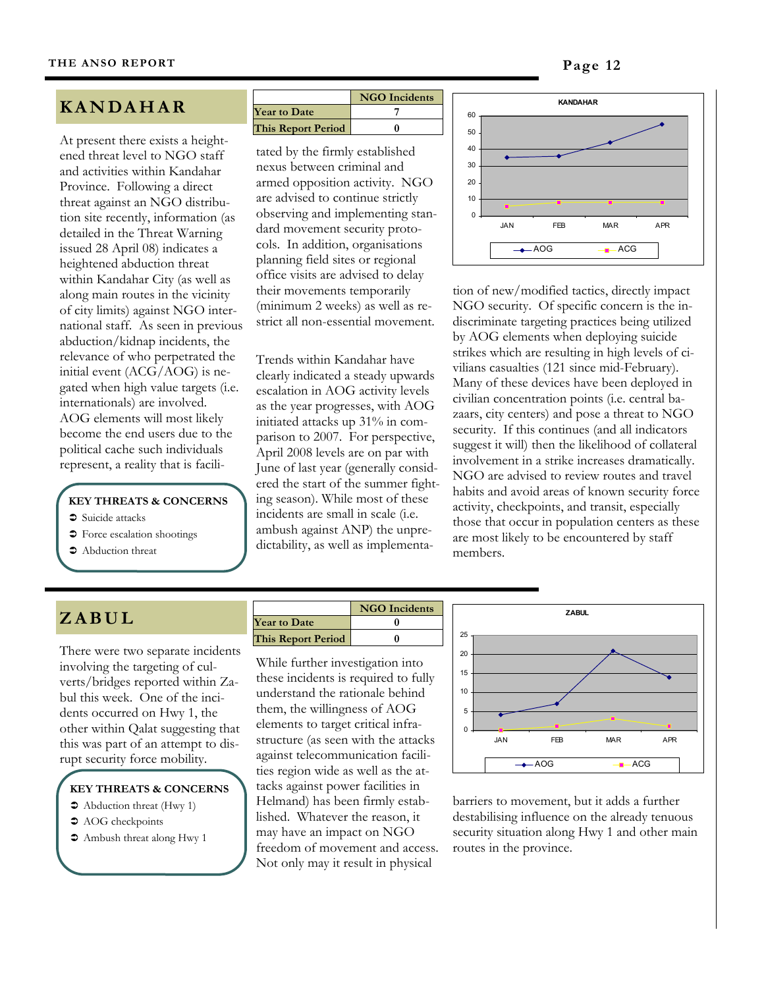# **K A N DA H A R**

At present there exists a heightened threat level to NGO staff and activities within Kandahar Province. Following a direct threat against an NGO distribution site recently, information (as detailed in the Threat Warning issued 28 April 08) indicates a heightened abduction threat within Kandahar City (as well as along main routes in the vicinity of city limits) against NGO international staff. As seen in previous abduction/kidnap incidents, the relevance of who perpetrated the initial event (ACG/AOG) is negated when high value targets (i.e. internationals) are involved. AOG elements will most likely become the end users due to the political cache such individuals represent, a reality that is facili-

# **KEY THREATS & CONCERNS**

- "Suicide attacks
- $\supset$  Force escalation shootings
- $\bullet$  Abduction threat

|                           | <b>NGO</b> Incidents |
|---------------------------|----------------------|
| <b>Year to Date</b>       |                      |
| <b>This Report Period</b> |                      |

tated by the firmly established nexus between criminal and armed opposition activity. NGO are advised to continue strictly observing and implementing standard movement security protocols. In addition, organisations planning field sites or regional office visits are advised to delay their movements temporarily (minimum 2 weeks) as well as restrict all non-essential movement.

Trends within Kandahar have clearly indicated a steady upwards escalation in AOG activity levels as the year progresses, with AOG initiated attacks up 31% in comparison to 2007. For perspective, April 2008 levels are on par with June of last year (generally considered the start of the summer fighting season). While most of these incidents are small in scale (i.e. ambush against ANP) the unpredictability, as well as implementa-



tion of new/modified tactics, directly impact NGO security. Of specific concern is the indiscriminate targeting practices being utilized by AOG elements when deploying suicide strikes which are resulting in high levels of civilians casualties (121 since mid-February). Many of these devices have been deployed in civilian concentration points (i.e. central bazaars, city centers) and pose a threat to NGO security. If this continues (and all indicators suggest it will) then the likelihood of collateral involvement in a strike increases dramatically. NGO are advised to review routes and travel habits and avoid areas of known security force activity, checkpoints, and transit, especially those that occur in population centers as these are most likely to be encountered by staff members.

# **Z A B U L**

There were two separate incidents involving the targeting of culverts/bridges reported within Zabul this week. One of the incidents occurred on Hwy 1, the other within Qalat suggesting that this was part of an attempt to disrupt security force mobility.

#### **KEY THREATS & CONCERNS**

- Abduction threat (Hwy 1)
- $\bullet$  AOG checkpoints
- $\bullet$  Ambush threat along Hwy 1

**NGO Incidents Year to Date 0 This Report Period 0**

While further investigation into these incidents is required to fully understand the rationale behind them, the willingness of AOG elements to target critical infrastructure (as seen with the attacks against telecommunication facilities region wide as well as the attacks against power facilities in Helmand) has been firmly established. Whatever the reason, it may have an impact on NGO freedom of movement and access. Not only may it result in physical



barriers to movement, but it adds a further destabilising influence on the already tenuous security situation along Hwy 1 and other main routes in the province.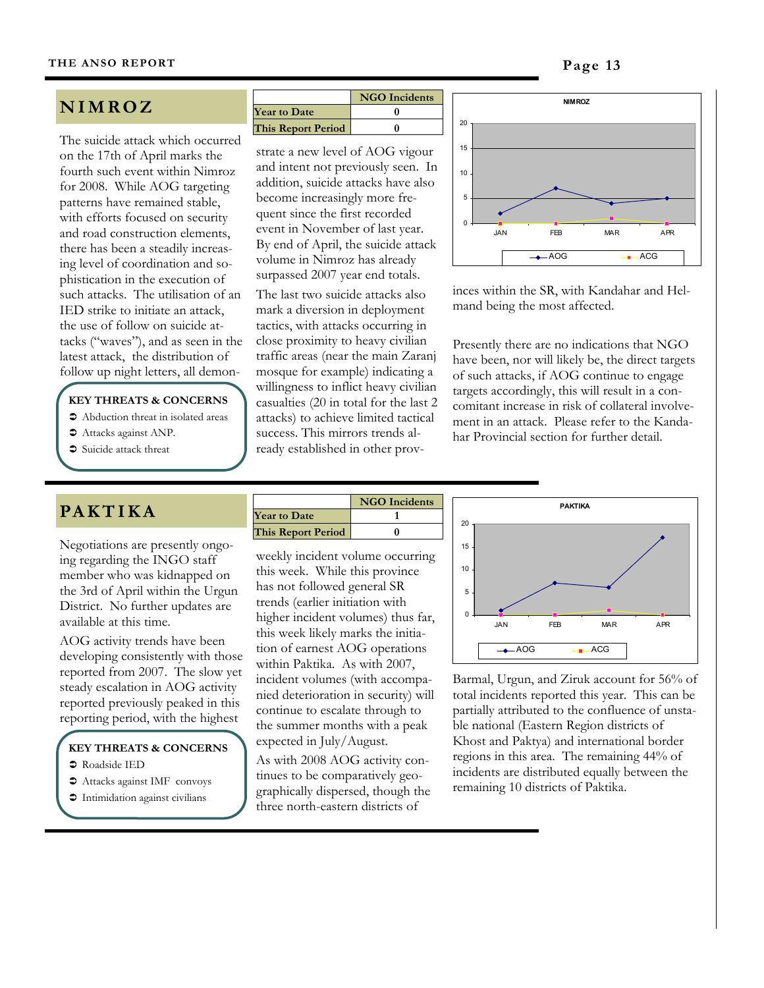# **N I M R O Z**

The suicide attack which occurred on the 17th of April marks the fourth such event within Nimroz for 2008. While AOG targeting patterns have remained stable, with efforts focused on security and road construction elements, there has been a steadily increasing level of coordination and sophistication in the execution of such attacks. The utilisation of an IED strike to initiate an attack, the use of follow on suicide attacks ("waves"), and as seen in the latest attack, the distribution of follow up night letters, all demon-

# **KEY THREATS & CONCERNS**

- $\bullet$  Abduction threat in isolated areas
- $\bullet$  Attacks against ANP.
- Suicide attack threat

# **NGO Incidents Year to Date 0 This Report Period 0**

strate a new level of AOG vigour and intent not previously seen. In addition, suicide attacks have also become increasingly more frequent since the first recorded event in November of last year. By end of April, the suicide attack volume in Nimroz has already surpassed 2007 year end totals.

The last two suicide attacks also mark a diversion in deployment tactics, with attacks occurring in close proximity to heavy civilian traffic areas (near the main Zaranj mosque for example) indicating a willingness to inflict heavy civilian casualties (20 in total for the last 2 attacks) to achieve limited tactical success. This mirrors trends already established in other prov-



inces within the SR, with Kandahar and Helmand being the most affected.

Presently there are no indications that NGO have been, nor will likely be, the direct targets of such attacks, if AOG continue to engage targets accordingly, this will result in a concomitant increase in risk of collateral involvement in an attack. Please refer to the Kandahar Provincial section for further detail.

# **PA K T I K A**

Negotiations are presently ongoing regarding the INGO staff member who was kidnapped on the 3rd of April within the Urgun District. No further updates are available at this time.

AOG activity trends have been developing consistently with those reported from 2007. The slow yet steady escalation in AOG activity reported previously peaked in this reporting period, with the highest

# **KEY THREATS & CONCERNS**

- $\bullet$  Roadside IED
- $\bullet$  Attacks against IMF convoys
- $\supset$  Intimidation against civilians

|                           | <b>NGO</b> Incidents |
|---------------------------|----------------------|
| <b>Year to Date</b>       |                      |
| <b>This Report Period</b> |                      |

weekly incident volume occurring this week. While this province has not followed general SR trends (earlier initiation with higher incident volumes) thus far, this week likely marks the initiation of earnest AOG operations within Paktika. As with 2007, incident volumes (with accompanied deterioration in security) will continue to escalate through to the summer months with a peak expected in July/August.

As with 2008 AOG activity continues to be comparatively geographically dispersed, though the three north-eastern districts of



Barmal, Urgun, and Ziruk account for 56% of total incidents reported this year. This can be partially attributed to the confluence of unstable national (Eastern Region districts of Khost and Paktya) and international border regions in this area. The remaining 44% of incidents are distributed equally between the remaining 10 districts of Paktika.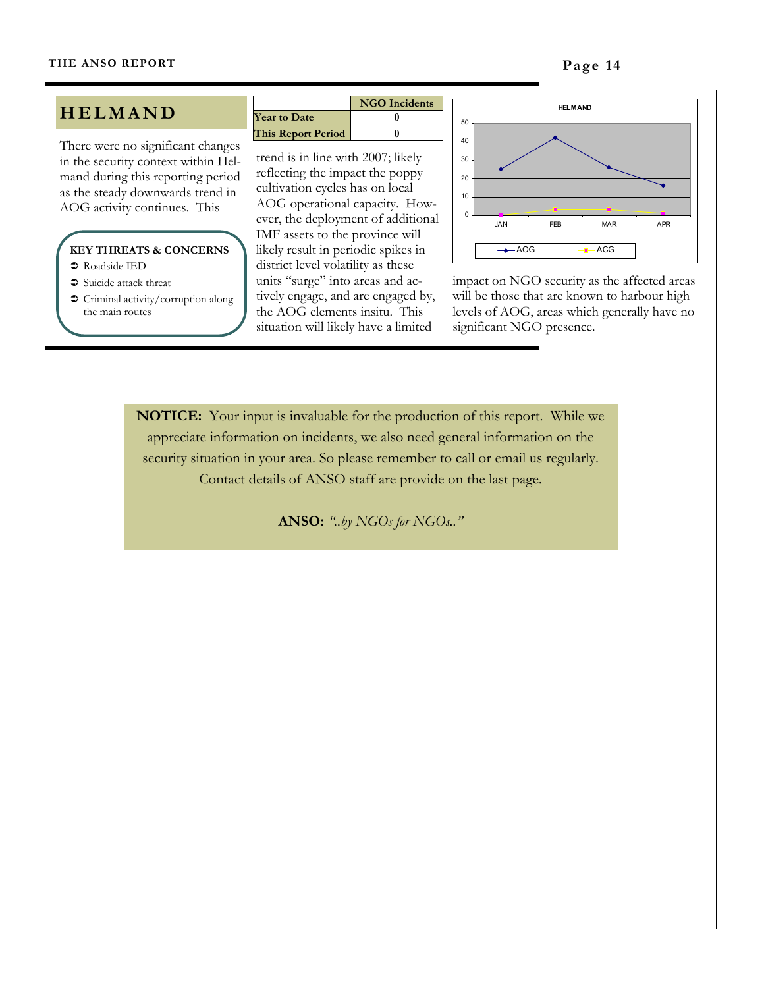# **HELMAND**

There were no significant changes in the security context within Helmand during this reporting period as the steady downwards trend in AOG activity continues. This

## **KEY THREATS & CONCERNS**

- $\bullet$  Roadside IED
- $\ensuremath{\mathbin{\supset}}$  Suicide attack threat
- $\supset$  Criminal activity/corruption along the main routes

|                     | <b>NGO</b> Incidents |
|---------------------|----------------------|
| <b>Year to Date</b> |                      |
| This Report Period  |                      |

trend is in line with 2007; likely reflecting the impact the poppy cultivation cycles has on local AOG operational capacity. However, the deployment of additional IMF assets to the province will likely result in periodic spikes in district level volatility as these units "surge" into areas and actively engage, and are engaged by, the AOG elements insitu. This situation will likely have a limited



impact on NGO security as the affected areas will be those that are known to harbour high levels of AOG, areas which generally have no significant NGO presence.

**NOTICE:** Your input is invaluable for the production of this report. While we appreciate information on incidents, we also need general information on the security situation in your area. So please remember to call or email us regularly. Contact details of ANSO staff are provide on the last page.

**ANSO:** *"..by NGOs for NGOs.."*